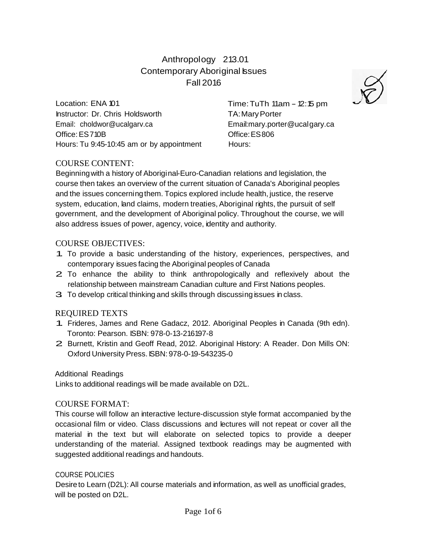# Anthropology 213.01 Contemporary Aboriginal Issues Fall 2016

Location: ENA 101 Instructor: Dr. Chris Holdsworth Email: [choldwor@ucalgarv.ca](mailto:choldwor@ucalgarv.ca) Office:ES710B Hours: Tu 9:45-10:45 am or by appointment Time: TuTh  $11am - 12:15 pm$ TA:MaryPorter Email:mary.porter@ucalgary.ca Office:ES806 Hours:

## COURSE CONTENT:

Beginningwith a history of Aboriginal-Euro-Canadian relations and legislation, the course then takes an overview of the current situation of Canada's Aboriginal peoples and the issues concerningthem. Topics explored include health, justice, the reserve system, education, land claims, modern treaties, Aboriginal rights, the pursuit of self government, and the development of Aboriginal policy. Throughout the course, we will also address issues of power, agency, voice, identity and authority.

### COURSE OBJECTIVES:

- 1. To provide <sup>a</sup> basic understanding of the history, experiences, perspectives, and contemporary issues facing the Aboriginal peoples of Canada
- 2. To enhance the ability to think anthropologically and reflexively about the relationship between mainstream Canadian culture and First Nations peoples.
- 3. To develop critical thinking and skills through discussing issues in class.

## REQUIRED TEXTS

- 1. Frideres, James and Rene Gadacz, 2012. Aboriginal Peoples in Canada (9th edn). Toronto: Pearson. ISBN: 978-0-13-216197-8
- 2. Burnett, Kristin and Geoff Read, 2012. Aboriginal History: <sup>A</sup> Reader. Don Mills ON: Oxford University Press. ISBN: 978-0-19-543235-0

#### Additional Readings

Links to additional readings will be made available on D2L.

#### COURSE FORMAT:

This course will follow an interactive lecture-discussion style format accompanied by the occasional film or video. Class discussions and lectures will not repeat or cover all the material in the text but will elaborate on selected topics to provide a deeper understanding of the material. Assigned textbook readings may be augmented with suggested additional readings and handouts.

#### COURSE POLICIES

Desire to Learn (D2L): All course materials and information, as well as unofficial grades, will be posted on D2L.

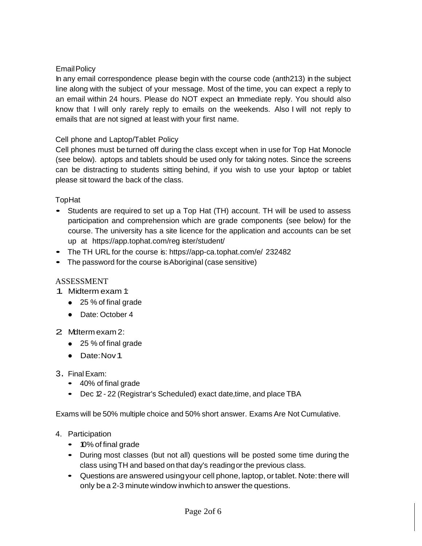## EmailPolicy

In any email correspondence please begin with the course code (anth213) in the subject line along with the subject of your message. Most of the time, you can expect a reply to an email within 24 hours. Please do NOT expect an Immediate reply. You should also know that I will only rarely reply to emails on the weekends. Also I will not reply to emails that are not signed at least with your first name.

## Cell phone and Laptop/Tablet Policy

Cell phones must be turned off during the class except when in use for Top Hat Monocle (see below). aptops and tablets should be used only for taking notes. Since the screens can be distracting to students sitting behind, if you wish to use your laptop or tablet please sit toward the back of the class.

TopHat

- Students are required to set up <sup>a</sup> Top Hat (TH) account. TH will be used to assess participation and comprehension which are grade components (see below) for the course. The university has a site licence for the application and accounts can be set up at https://app.tophat.com/reg ister/student/
- The TH URL for the course is: https://app-ca.tophat.com/e/ 232482
- The password for the course is Aboriginal (case sensitive)

## ASSESSMENT

- 1. Midterm exam 1:
	- 25 % of final grade
	- Date: October 4
- 2 Mdtermexam 2:
	- 25 % of final grade
	- Date:Nov1
- 3. FinalExam:
	- 40% of final grade
	- Dec 12 22 (Registrar's Scheduled) exact date, time, and place TBA

Exams will be 50% multiple choice and 50% short answer. Exams Are Not Cumulative.

- 4. Participation
	- 10% of final grade
	- During most classes (but not all) questions will be posted some time during the class usingTH and based on that day's readingorthe previous class.
	- Questions are answered usingyour cell phone, laptop, ortablet. Note:there will only be a 2-3 minute window inwhich to answer the questions.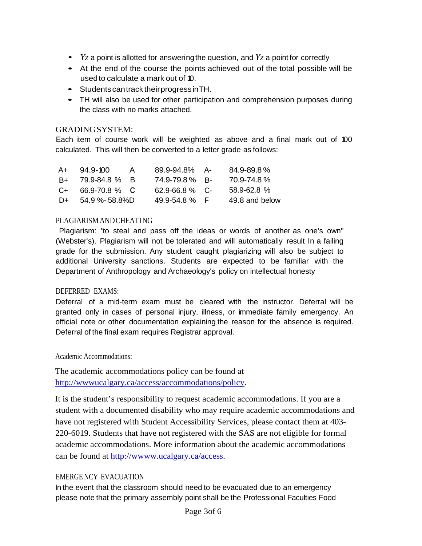- *Yz* <sup>a</sup> point is allotted for answeringthe question, and *Yz* <sup>a</sup> point for correctly
- At the end of the course the points achieved out of the total possible will be usedto calculate a mark out of 10.
- Students cantrack theirprogress inTH.
- TH will also be used for other participation and comprehension purposes during the class with no marks attached.

### GRADINGSYSTEM:

Each item of course work will be weighted as above and a final mark out of 100 calculated. This will then be converted to a letter grade as follows:

| $A+$  | $94.9 - 100$   | $\mathsf{A}$ | $89.9 - 94.8\%$ A-  | 84.9-89.8%      |
|-------|----------------|--------------|---------------------|-----------------|
| B+ -  | 79.9-84.8 % B  |              | 74.9-79.8% B-       | 70.9-74.8%      |
| $C++$ | 66.9-70.8 % C  |              | $62.9 - 66.8 \%$ C- | $58.9 - 62.8$ % |
| D+    | 54.9 %- 58.8%D |              | $49.9 - 54.8$ %     | 49.8 and below  |

### PLAGIARISM ANDCHEATING

Plagiarism: "to steal and pass off the ideas or words of another as one's own" (Webster's). Plagiarism will not be tolerated and will automatically result In a failing grade for the submission. Any student caught plagiarizing will also be subject to additional University sanctions. Students are expected to be familiar with the Department of Anthropology and Archaeology's policy on intellectual honesty

#### DEFERRED EXAMS:

Deferral of a mid-term exam must be cleared with the instructor. Deferral will be granted only in cases of personal injury, illness, or immediate family emergency. An official note or other documentation explaining the reason for the absence is required. Deferral of the final exam requires Registrar approval.

Academic Accommodations:

The academic accommodations policy can be found at [http://wwwucalgary.ca/access/accommodations/policy.](http://wwwucalgary.ca/access/accommodations/policy)

It is the student's responsibility to request academic accommodations. If you are a student with a documented disability who may require academic accommodations and have not registered with Student Accessibility Services, please contact them at 403- 220-6019. Students that have not registered with the SAS are not eligible for formal academic accommodations. More information about the academic accommodations can be found at [http://wwww.ucalgary.ca/access.](http://wwww.ucalgary.ca/access)

## EMERGE NCY EVACUATION

In the event that the classroom should need to be evacuated due to an emergency please note that the primary assembly point shall be the Professional Faculties Food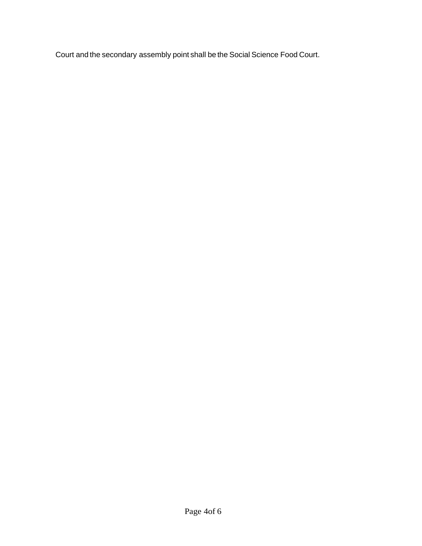Court and the secondary assembly point shall be the Social Science Food Court.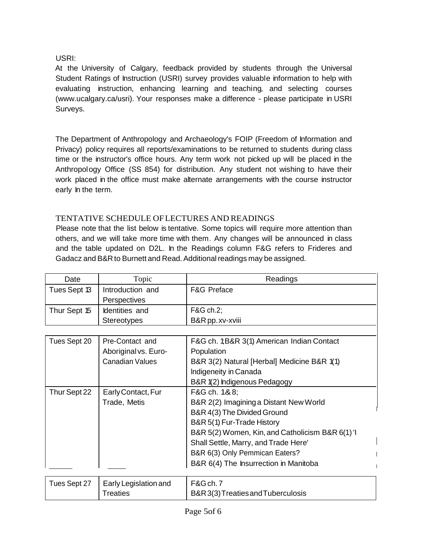# USRI:

At the University of Calgary, feedback provided by students through the Universal Student Ratings of Instruction (USRI) survey provides valuable information to help with evaluating instruction, enhancing learning and teaching, and selecting courses [\(www.ucalgary.ca/usri\).](http://www.ucalgary.ca/usri)) Your responses make a difference - please participate in USRI Surveys.

The Department of Anthropology and Archaeology's FOIP (Freedom of Information and Privacy) policy requires all reports/examinations to be returned to students during class time or the instructor's office hours. Any term work not picked up will be placed in the Anthropology Office (SS 854) for distribution. Any student not wishing to have their work placed in the office must make alternate arrangements with the course instructor early **In** the term.

# TENTATIVE SCHEDULE OFLECTURES AND READINGS

Please note that the list below is tentative. Some topics will require more attention than others, and we will take more time with them. Any changes will be announced in class and the table updated on D2L. In the Readings column F&G refers to Frideres and Gadacz and B&R to Burnett and Read. Additional readings may be assigned.

| Date         | Topic              | Readings               |
|--------------|--------------------|------------------------|
| Tues Sept 13 | Introduction and   | <b>F&amp;G Preface</b> |
|              | Perspectives       |                        |
| Thur Sept 15 | Identities and     | <b>F&amp;G ch.2;</b>   |
|              | <b>Stereotypes</b> | B&R pp. xv-xviii       |
|              |                    |                        |

| Tues Sept 20 | Pre-Contact and<br>Aboriginal vs. Euro-<br><b>Canadian Values</b> | F&G ch. 1; B&R 3(1) American Indian Contact<br>Population<br>B&R 3(2) Natural [Herbal] Medicine B&R 1(1)<br>Indigeneity in Canada<br>B&R 1(2) Indigenous Pedagogy                                                                                                                          |
|--------------|-------------------------------------------------------------------|--------------------------------------------------------------------------------------------------------------------------------------------------------------------------------------------------------------------------------------------------------------------------------------------|
| Thur Sept 22 | Early Contact, Fur<br>Trade, Metis                                | F&G ch. 1&8;<br>B&R 2(2) Imagining a Distant New World<br>B&R 4(3) The Divided Ground<br>B&R 5(1) Fur-Trade History<br>B&R 5(2) Women, Kin, and Catholicism B&R 6(1) 'I<br>Shall Settle, Marry, and Trade Here'<br>B&R 6(3) Only Pemmican Eaters?<br>B&R 6(4) The Insurrection in Manitoba |
|              |                                                                   |                                                                                                                                                                                                                                                                                            |

| Tues Sept 27   Early Legislation and | $\vert$ F&G ch. 7                |
|--------------------------------------|----------------------------------|
| <sup>-</sup> reaties                 | B&R3(3)Treaties and Tuberculosis |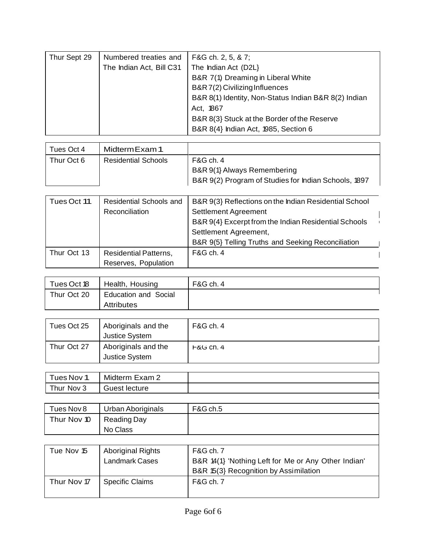| Thur Sept 29 | Numbered treaties and    | F&G ch. 2, 5, & 7;                                   |
|--------------|--------------------------|------------------------------------------------------|
|              | The Indian Act, Bill C31 | The Indian Act (D2L)                                 |
|              |                          | B&R 7(1) Dreaming in Liberal White                   |
|              |                          | B&R 7(2) Civilizing Influences                       |
|              |                          | B&R 8(1) Identity, Non-Status Indian B&R 8(2) Indian |
|              |                          | Act, 1867                                            |
|              |                          | B&R 8(3) Stuck at the Border of the Reserve          |
|              |                          | B&R 8(4} Indian Act, 1985, Section 6                 |

| Tues Oct 4 | Midterm Exam 1             |                                                                                                  |
|------------|----------------------------|--------------------------------------------------------------------------------------------------|
| Thur Oct 6 | <b>Residential Schools</b> | F&G ch. 4<br>B&R 9(1) Always Remembering<br>B&R 9(2) Program of Studies for Indian Schools, 1897 |

| Tues Oct 11 | Residential Schools and      | B&R 9(3) Reflections on the Indian Residential School |  |
|-------------|------------------------------|-------------------------------------------------------|--|
|             | Reconciliation               | Settlement Agreement                                  |  |
|             |                              | B&R 9(4) Excerpt from the Indian Residential Schools  |  |
|             |                              | Settlement Agreement,                                 |  |
|             |                              | B&R 9(5} Telling Truths and Seeking Reconciliation    |  |
| Thur Oct 13 | <b>Residential Patterns,</b> | <b>F&amp;G ch. 4</b>                                  |  |
|             | Reserves, Population         |                                                       |  |

| Tues Oct 18 | Health, Housing             | F&G ch. 4 |
|-------------|-----------------------------|-----------|
| Thur Oct 20 | <b>Education and Social</b> |           |
|             | <b>Attributes</b>           |           |

| Tues Oct 25 | Aboriginals and the<br><b>Justice System</b> | F&G ch. 4    |
|-------------|----------------------------------------------|--------------|
| Thur Oct 27 | Aboriginals and the<br><b>Justice System</b> | $F$ &G Ch. 4 |

| Tues Nov 1 | Midterm Exam 2 |  |
|------------|----------------|--|
| Thur Nov 3 | Guest lecture  |  |
|            |                |  |

| Tues Nov 8  | Urban Aboriginals | F&G ch.5 |
|-------------|-------------------|----------|
| Thur Nov 10 | Reading Day       |          |
|             | No Class          |          |

| Tue Nov 15  | <b>Aboriginal Rights</b><br>Landmark Cases | F&G ch. 7<br>B&R 14(1) 'Nothing Left for Me or Any Other Indian'<br>B&R 15(3) Recognition by Assimilation |
|-------------|--------------------------------------------|-----------------------------------------------------------------------------------------------------------|
| Thur Nov 17 | <b>Specific Claims</b>                     | F&G ch. 7                                                                                                 |